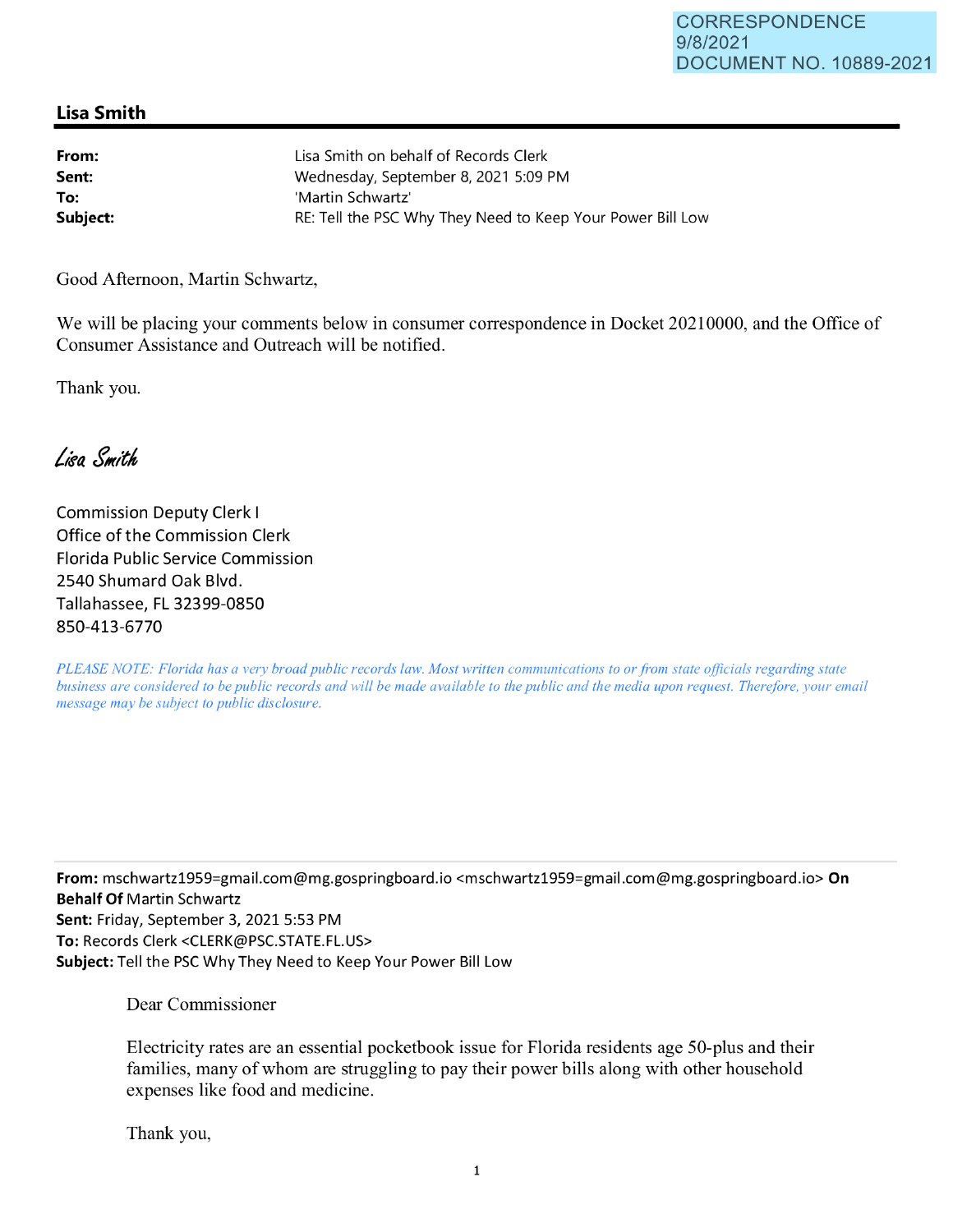## **Lisa Smith**

| From:    | Lisa Smith on behalf of Records Clerk                      |
|----------|------------------------------------------------------------|
| Sent:    | Wednesday, September 8, 2021 5:09 PM                       |
| To:      | 'Martin Schwartz'                                          |
| Subject: | RE: Tell the PSC Why They Need to Keep Your Power Bill Low |

Good Afternoon, Martin Schwartz,

We will be placing your comments below in consumer correspondence in Docket 20210000, and the Office of Consumer Assistance and Outreach will be notified.

Thank you.

Lisa Smith

Commission Deputy Clerk I Office of the Commission Clerk Florida Public Service Commission 2540 Shumard Oak Blvd. Tallahassee, FL 32399-0850 850-413-6770

*PLEASE NOTE: Florida has a very broad public records law. Most written communications to or from state officials regarding state business are considered to be public records and will be made available to the public and the media upon request. Therefore, your email message may be subject to public disclosure.* 

**From:** mschwartz1959=gmail.com@mg.gospringboard.io <mschwartz1959=gmail .com@mg.gospringboard.io> **On Behalf Of** Martin Schwartz **Sent:** Friday, September 3, 2021 5:53 PM **To:** Records Clerk <CLERK@PSC.STATE.FL.US> **Subject:** Tell the PSC Why They Need to Keep Your Power Bill Low

Dear Commissioner

Electricity rates are an essential pocketbook issue for Florida residents age 50-plus and their families, many of whom are struggling to pay their power bills along with other household expenses like food and medicine.

Thank you,